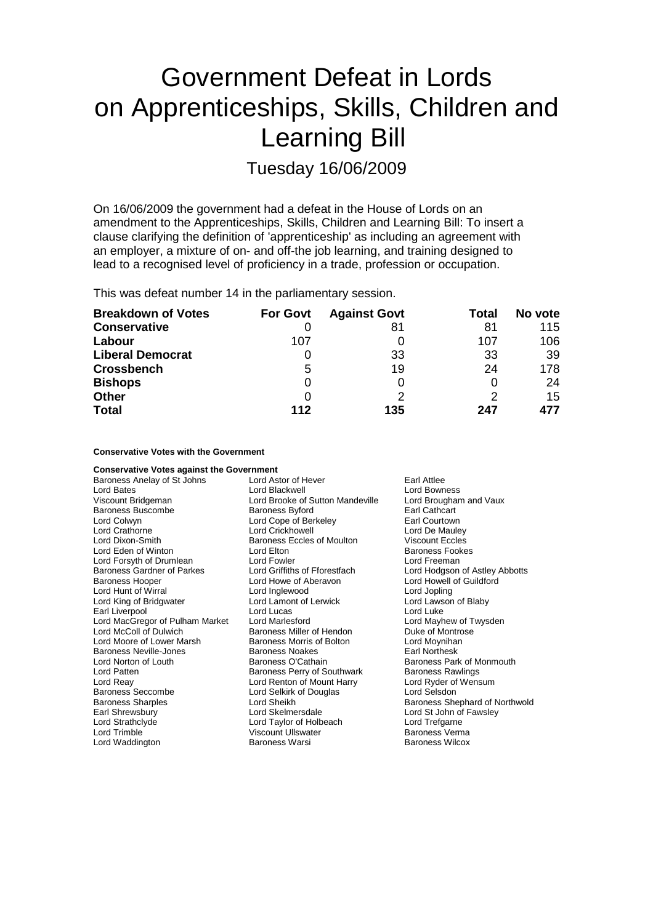# Government Defeat in Lords on Apprenticeships, Skills, Children and Learning Bill

Tuesday 16/06/2009

On 16/06/2009 the government had a defeat in the House of Lords on an amendment to the Apprenticeships, Skills, Children and Learning Bill: To insert a clause clarifying the definition of 'apprenticeship' as including an agreement with an employer, a mixture of on- and off-the job learning, and training designed to lead to a recognised level of proficiency in a trade, profession or occupation.

This was defeat number 14 in the parliamentary session.

| <b>Breakdown of Votes</b> | <b>For Govt</b> | <b>Against Govt</b> | <b>Total</b> | No vote |
|---------------------------|-----------------|---------------------|--------------|---------|
| <b>Conservative</b>       |                 | 81                  | 81           | 115     |
| Labour                    | 107             |                     | 107          | 106     |
| <b>Liberal Democrat</b>   |                 | 33                  | 33           | -39     |
| <b>Crossbench</b>         | 5               | 19                  | 24           | 178     |
| <b>Bishops</b>            | O               | 0                   |              | 24      |
| <b>Other</b>              |                 | っ                   |              | 15      |
| <b>Total</b>              | 112             | 135                 | 247          | 477     |

### **Conservative Votes with the Government**

| <b>Conservative Votes against the Government</b> |                                   |                                |  |
|--------------------------------------------------|-----------------------------------|--------------------------------|--|
| Baroness Anelay of St Johns                      | Lord Astor of Hever               | Earl Attlee                    |  |
| <b>Lord Bates</b>                                | Lord Blackwell                    | <b>Lord Bowness</b>            |  |
| Viscount Bridgeman                               | Lord Brooke of Sutton Mandeville  | Lord Brougham and Vaux         |  |
| Baroness Buscombe                                | <b>Baroness Byford</b>            | Earl Cathcart                  |  |
| Lord Colwyn                                      | Lord Cope of Berkeley             | Earl Courtown                  |  |
| Lord Crathorne                                   | Lord Crickhowell                  | Lord De Mauley                 |  |
| Lord Dixon-Smith                                 | <b>Baroness Eccles of Moulton</b> | <b>Viscount Eccles</b>         |  |
| Lord Eden of Winton                              | Lord Elton                        | <b>Baroness Fookes</b>         |  |
| Lord Forsyth of Drumlean                         | Lord Fowler                       | Lord Freeman                   |  |
| Baroness Gardner of Parkes                       | Lord Griffiths of Fforestfach     | Lord Hodgson of Astley Abbotts |  |
| <b>Baroness Hooper</b>                           | Lord Howe of Aberavon             | Lord Howell of Guildford       |  |
| Lord Hunt of Wirral                              | Lord Inglewood                    | Lord Jopling                   |  |
| Lord King of Bridgwater                          | Lord Lamont of Lerwick            | Lord Lawson of Blaby           |  |
| Earl Liverpool                                   | Lord Lucas                        | Lord Luke                      |  |
| Lord MacGregor of Pulham Market                  | Lord Marlesford                   | Lord Mayhew of Twysden         |  |
| Lord McColl of Dulwich                           | Baroness Miller of Hendon         | Duke of Montrose               |  |
| Lord Moore of Lower Marsh                        | Baroness Morris of Bolton         | Lord Moynihan                  |  |
| Baroness Neville-Jones                           | <b>Baroness Noakes</b>            | <b>Earl Northesk</b>           |  |
| Lord Norton of Louth                             | Baroness O'Cathain                | Baroness Park of Monmouth      |  |
| Lord Patten                                      | Baroness Perry of Southwark       | <b>Baroness Rawlings</b>       |  |
| Lord Reay                                        | Lord Renton of Mount Harry        | Lord Ryder of Wensum           |  |
| <b>Baroness Seccombe</b>                         | Lord Selkirk of Douglas           | Lord Selsdon                   |  |
| <b>Baroness Sharples</b>                         | Lord Sheikh                       | Baroness Shephard of Northwold |  |
| Earl Shrewsbury                                  | Lord Skelmersdale                 | Lord St John of Fawsley        |  |
| Lord Strathclyde                                 | Lord Taylor of Holbeach           | Lord Trefgarne                 |  |
| Lord Trimble                                     | Viscount Ullswater                | Baroness Verma                 |  |
| Lord Waddington                                  | Baroness Warsi                    | <b>Baroness Wilcox</b>         |  |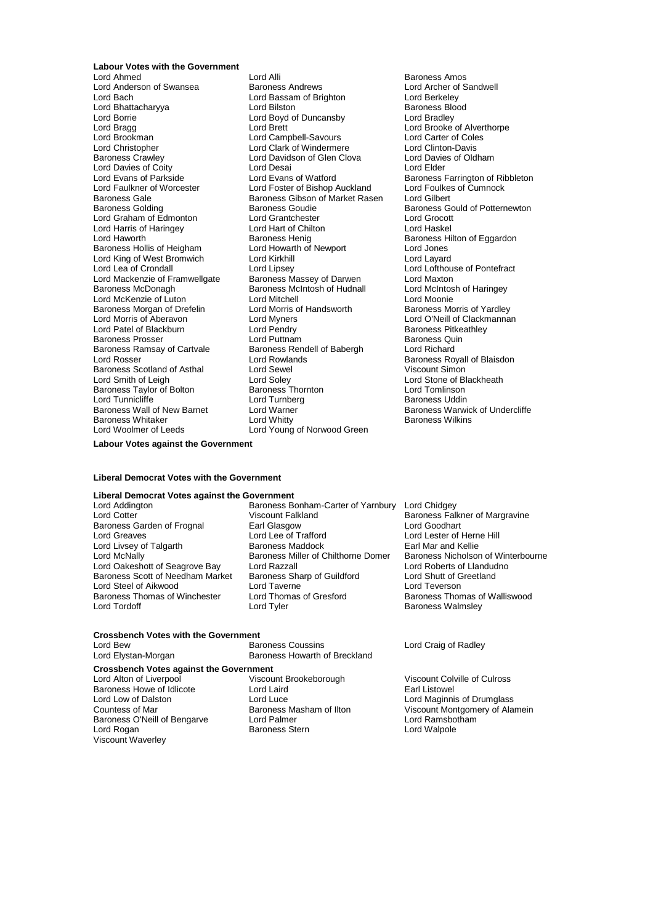## **Labour Votes with the Government**<br>Lord Ahmed

Lord Borrie Lord Boyd of Duncansby<br>
Lord Brada Lord Brett Lord Harris of Haringey Lord Hart of Chilton Lord Hart of Chilton Lord Hart of Chilton Lord Hart of Chilton Lo Lord King of West Bromwich Lord Kirkhill<br>
Lord Lea of Crondall Lord Lipsey Baroness Morgan of Drefelin<br>Lord Morris of Aberavon Baroness Ramsay of Cartvale Baroness Scotland of Asthal Lord Sewel<br>
Lord Smith of Leigh Lord Soley Baroness Taylor of Bolton Baroness Thornton Baroness Thornton Baroness Thornton Lord Turnberg Lord Woolmer of Leeds Lord Young of Norwood Green

Lord Alli **Lord Alli Baroness Amos**<br>
Baroness Andrews **Baroness** Lord Archer of Sandwell Lord Anderson of Swansea **Baroness Andrews** Baroness Andrews Lord Archer of Lord Archer of Lord Berkeley Lord Bassam of Brighton Lord Berkeley<br>
Lord Bilston Lord Baroness Blood Lord Bhattacharyya Lord Bilston Baroness Blood Lord Brookman Lord Campbell-Savours Lord Carter of Coles Lord Christopher Lord Clark of Windermere Lord Clinton-Davis Lord Davidson of Glen Clova<br>Lord Desai Lord Davies of Coity<br>
Lord Evans of Parkside 
Lord Evans of Watford

Lord Evans of Watford

Lord Evans of Watford

Lord Evans of Watford

Lord Evans of Watford

Lord Evans of Watford

Lord Evans of Watford

Lord Evans o Lord Evans of Parkside Lord Evans of Watford Baroness Farrington of Ribbleton Lord Faulkner of Worcester Lord Foster of Bishop Auckland Lord Foulkes<br>Baroness Gale Cumnock Baroness Gibson of Market Rasen Lord Gilbert Baroness Gibson of Market Rasen<br>Baroness Goudie Baroness Golding **Baroness Goudie** Baroness Gould of Potternewton<br>
Baroness Gould of Potternewton<br>
Lord Graham of Edmonton<br>
Lord Graham of Edmonton Lord Graham of Edmonton Lord Grantchester Lord Grocott Lord Haworth Baroness Henig Baroness Henig<br>Baroness Hollis of Heigham Baroness Henig Baroness Hollis of Heigham Baroness Hollis of Heigham Lord Howarth of Newport Lord Jones<br>Lord Kirkhill Lord Lavard Lord Mackenzie of Framwellgate Baroness Massey of Darwen Lord Maxton<br>Baroness McDonagh Baroness McIntosh of Hudnall Lord McIntosh of Haringey Baroness McIntosh of Hudnall Lord McIntos<br>Lord Mitchell Lord Moonie Lord McKenzie of Luton Lord Mitchell Lord Mexican Lord Moonie<br>
Baroness Morgan of Drefelin Lord Morris of Handsworth Baroness Morris of Yardlev Lord Myners **Carlo Aberavon Lord O'Neill of Clackmannan**<br>
Lord Pendry **Carlo Aberavon Claude Baroness Pitkeathle**v Lord Patel of Blackburn Lord Pendry Cord Pendry Baroness Pitke<br>Baroness Prosser Cord Puttnam Lord Puttnam Baroness Quin Baroness Prosser **Cartagens** Lord Puttnam<br>Baroness Ramsay of Cartvale Baroness Rendell of Babergh Card Richard Lord Rosser The Lord Rowlands Corporation Baroness Royall of Blaisdon<br>
Baroness Scotland of Asthal Lord Sewel Corporation Corporation Corporation Lord Soley **Lord Stone of Blackheath Cord Stone Stone Stone Stone Stone Stone Stone Stone Stone Stone Stone Stone Stone Stone Stone Stone Stone Stone Stone Stone Stone Stone Stone Stone Stone Stone Stone Stone Stone Stone** Lord Turnicliffe Lord Turnberg Communicative Marchaeos Uddin<br>
Baroness Wall of New Barnet Lord Warner Communicative Communicative Marty Lord Warner **Baroness Warwick of Undercliffe**<br>
Lord Whitty **Baroness Wilkins** Baroness Whitaker Lord Whitty Baroness Wilkins

Lord Braaley<br>Lord Brooke of Alverthorpe Lord Lofthouse of Pontefract

**Labour Votes against the Government**

#### **Liberal Democrat Votes with the Government**

## **Liberal Democrat Votes against the Government**

Baroness Garden of Frognal Earl Glasgow<br>
Lord Greaves Corp Lord Lee of Trafford Baroness Scott of Needham Market

Lord Addington **Baroness Bonham-Carter of Yarnbury** Lord Chidgey<br>Lord Cotter **Baroness Eall** Viscount Falkland Baroness Fall Uiscount Falkland Uiscount Falkland Baroness Falkner of Margravine<br>Earl Glasgow Lord Goodhart Lord Lee of Trafford<br>
Baroness Maddock<br>
Earl Mar and Kellie Lord Livsey of Talgarth **Baroness Maddock**<br>
Baroness Miller of Chilthorne Domer<br>
Baroness Miller of Chilthorne Domer Lord McNally **Lord McNally** Baroness Miller of Chilthorne Domer Baroness Nicholson of Winterbourne<br>
Lord Cakeshott of Seagrove Bay Lord Razzall **Lord Roberts of Llandudno** Lord Oakeshott of Seagrove Bay Lord Razzall **Lord Roberts of Landuc**<br>
Baroness Scott of Needham Market Baroness Sharp of Guildford Lord Shutt of Greetland Lord Steel of Aikwood **Lord Taverne** Lord Teverson<br>
Baroness Thomas of Winchester Lord Thomas of Gresford **Baroness Thor** Baroness Thomas of Winchester Lord Thomas of Gresford<br>Lord Tord Tord Thomas of Gresford Baroness Thomas of Walliswood<br>Baroness Walmsley

## **Crossbench Votes with the Government**

Lord Bew **Baroness Coussins** Lord Craig of Radley<br>
Lord Elystan-Morgan **Baroness Howarth of Breckland** Baroness Howarth of Breckland

Lord Alton of Liverpool Viscount Brookeborough Viscount Colville of Culross Baroness Howe of Idlicote **Lord Laird**<br>
Lord Low of Dalston **Lord Luce** Baroness O'Neill of Bengarve Lord Palmer Lord Ramsbothames Cord Ramsbothames Cord Ramsbothames Cord Ramsbotham<br>
Lord Rogan Lord Walpole Viscount Waverley

**Crossbench Votes against the Government**<br>Lord Alton of Liverpool **Cross Viscount Brookeborough** Baroness Stern

Baroness Walmsley

Lord Luce<br>
Raroness Masham of Ilton<br>
Viscount Montgomery of Ala Countess of Mar **Baroness Masham of Ilton** Viscount Montgomery of Alamein<br>Baroness O'Neill of Bengarve Lord Palmer **Dangers Container** Lord Ramsbotham